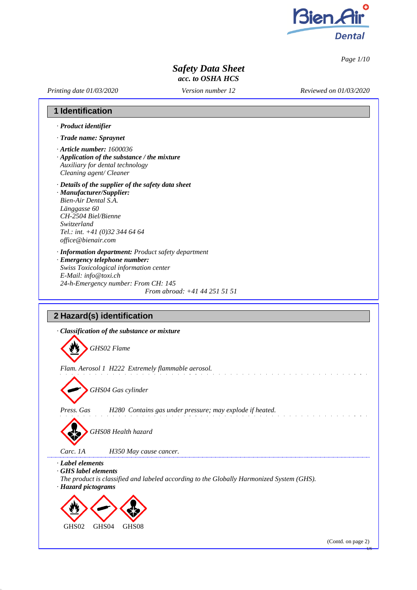

*Page 1/10*

# *Safety Data Sheet acc. to OSHA HCS*

*Printing date 01/03/2020*

*Version number 12*

*Reviewed on 01/03/2020*

# **1 Identification**

- *· Product identifier*
- *· Trade name: Spraynet*
- *· Article number: 1600036*
- *· Application of the substance / the mixture Auxiliary for dental technology Cleaning agent/ Cleaner*
- *· Details of the supplier of the safety data sheet*
- *· Manufacturer/Supplier: Bien-Air Dental S.A. Länggasse 60 CH-2504 Biel/Bienne Switzerland Tel.: int. +41 (0)32 344 64 64 [office@bienair.com](mailto:office@bienair.com)*
- *· Information department: Product safety department*
- *· Emergency telephone number: Swiss Toxicological information center E-Mail: [info@toxi.ch](mailto:info@toxi.ch) 24-h-Emergency number: From CH: 145 From abroad: +41 44 251 51 51*

# **2 Hazard(s) identification**

*· Classification of the substance or mixture GHS02 Flame Flam. Aerosol 1 H222 Extremely flammable aerosol. GHS04 Gas cylinder Press. Gas H280 Contains gas under pressure; may explode if heated. GHS08 Health hazard Carc. 1A H350 May cause cancer. · Label elements · GHS label elements The product is classified and labeled according to the Globally Harmonized System (GHS). · Hazard pictograms* GHS02 GHS04 GHS08

(Contd. on page 2)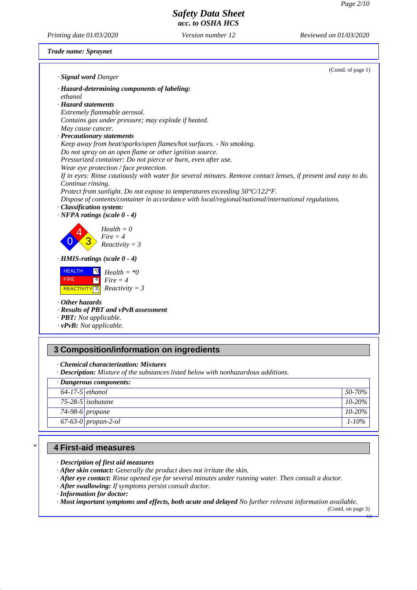*Printing date 01/03/2020 Version number 12 Reviewed on 01/03/2020*

### *Trade name: Spraynet*

| · Signal word Danger                                                                                                                | (Contd. of page 1) |
|-------------------------------------------------------------------------------------------------------------------------------------|--------------------|
| · Hazard-determining components of labeling:                                                                                        |                    |
| ethanol                                                                                                                             |                    |
| · Hazard statements                                                                                                                 |                    |
| Extremely flammable aerosol.                                                                                                        |                    |
| Contains gas under pressure; may explode if heated.                                                                                 |                    |
| May cause cancer.                                                                                                                   |                    |
| · Precautionary statements                                                                                                          |                    |
| Keep away from heat/sparks/open flames/hot surfaces. - No smoking.                                                                  |                    |
| Do not spray on an open flame or other ignition source.                                                                             |                    |
| Pressurized container: Do not pierce or burn, even after use.                                                                       |                    |
| Wear eye protection / face protection.                                                                                              |                    |
| If in eyes: Rinse cautiously with water for several minutes. Remove contact lenses, if present and easy to do.<br>Continue rinsing. |                    |
| Protect from sunlight. Do not expose to temperatures exceeding 50°C/122°F.                                                          |                    |
| Dispose of contents/container in accordance with local/regional/national/international regulations.                                 |                    |
| · Classification system:                                                                                                            |                    |
| $\cdot$ NFPA ratings (scale $0 - 4$ )                                                                                               |                    |
| $Health = 0$<br>$Fire = 4$<br>$Reactivity = 3$                                                                                      |                    |
| $\cdot$ HMIS-ratings (scale $0 - 4$ )                                                                                               |                    |
| <b>HEALTH</b><br>$Health = *0$<br>$\boxed{4}$<br><b>FIRE</b><br>$Fire = 4$<br>REACTIVITY <b>3</b> Reactivity = 3                    |                    |
| $\cdot$ Other hazards                                                                                                               |                    |
| · Results of PBT and vPvB assessment                                                                                                |                    |
| · PBT: Not applicable.                                                                                                              |                    |
| $\cdot$ vPvB: Not applicable.                                                                                                       |                    |
|                                                                                                                                     |                    |
| 3 Composition/information on ingredients                                                                                            |                    |

*· Chemical characterization: Mixtures*

*· Description: Mixture of the substances listed below with nonhazardous additions.*

| · Dangerous components: |                     |                        |
|-------------------------|---------------------|------------------------|
| $64-17-5$ ethanol       |                     | $\frac{1}{2}$ 50-70% i |
|                         | $75-28-5$ isobutane | $10-20\%$              |
|                         | $74-98-6$ propane   | $10-20\%$              |
|                         | 67-63-0 propan-2-ol | $1 - 10\%$             |

## **4 First-aid measures**

*\**

*· Description of first aid measures*

- *· After skin contact: Generally the product does not irritate the skin.*
- *· After eye contact: Rinse opened eye for several minutes under running water. Then consult a doctor.*
- *· After swallowing: If symptoms persist consult doctor.*
- *· Information for doctor:*

*· Most important symptoms and effects, both acute and delayed No further relevant information available.*

(Contd. on page 3)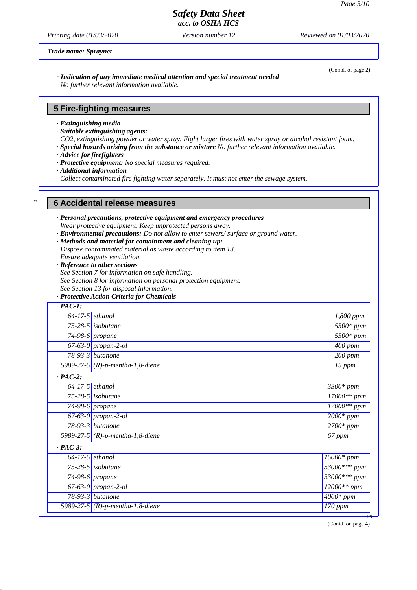# *Safety Data Sheet*

*acc. to OSHA HCS*

*Printing date 01/03/2020 Version number 12 Reviewed on 01/03/2020*

*Trade name: Spraynet*

(Contd. of page 2)

### *· Indication of any immediate medical attention and special treatment needed No further relevant information available.*

### **5 Fire-fighting measures**

- *· Extinguishing media*
- *· Suitable extinguishing agents:*
- *CO2, extinguishing powder or water spray. Fight larger fires with water spray or alcohol resistant foam.*
- *· Special hazards arising from the substance or mixture No further relevant information available.*
- *· Advice for firefighters*
- *· Protective equipment: No special measures required.*
- *· Additional information*

*\**

*Collect contaminated fire fighting water separately. It must not enter the sewage system.*

#### **6 Accidental release measures**

- *· Personal precautions, protective equipment and emergency procedures Wear protective equipment. Keep unprotected persons away.*
- *· Environmental precautions: Do not allow to enter sewers/ surface or ground water.*
- *· Methods and material for containment and cleaning up:*
- *Dispose contaminated material as waste according to item 13.*
- *Ensure adequate ventilation.*
- *· Reference to other sections*
- *See Section 7 for information on safe handling.*
- *See Section 8 for information on personal protection equipment.*
- *See Section 13 for disposal information.*
- *· Protective Action Criteria for Chemicals*

| $\cdot$ PAC-1:    |                                     |                          |
|-------------------|-------------------------------------|--------------------------|
|                   | $64-17-5$ ethanol                   | 1,800 ppm                |
|                   | 75-28-5 isobutane                   | 5500* ppm                |
|                   | $\sqrt{74}$ -98-6 propane           | $5500*$ ppm              |
|                   | $67-63-0$ propan-2-ol               | $\overline{4}00$ ppm     |
|                   | 78-93-3 butanone                    | 200 ppm                  |
|                   | 5989-27-5 (R)-p-mentha-1,8-diene    | 15 ppm                   |
| $\cdot$ PAC-2:    |                                     |                          |
| $64-17-5$ ethanol |                                     | 3300* ppm                |
|                   | $75-28-5$ isobutane                 | 17000** ppm              |
|                   | $\sqrt{74}$ -98-6 propane           | $17000**$ ppm            |
|                   | 67-63-0 propan-2-ol                 | $2000*$ ppm              |
|                   | 78-93-3 <i>butanone</i>             | $2700*$ ppm              |
|                   | 5989-27-5 $(R)$ -p-mentha-1,8-diene | 67 ppm                   |
| $\cdot$ PAC-3:    |                                     |                          |
|                   | $64-17-5$ ethanol                   | $\overline{150}00*ppm$   |
|                   | 75-28-5 isobutane                   | $\frac{53000}{*}$ ** ppm |
|                   | $\overline{7}$ 4-98-6 propane       | 33000*** ppm             |
|                   | $67-63-0$ propan-2-ol               | $12000**$ ppm            |
|                   | 78-93-3 butanone                    | $\overline{4}000*$ ppm   |
|                   | 5989-27-5 (R)-p-mentha-1,8-diene    | 170 ppm                  |

(Contd. on page 4)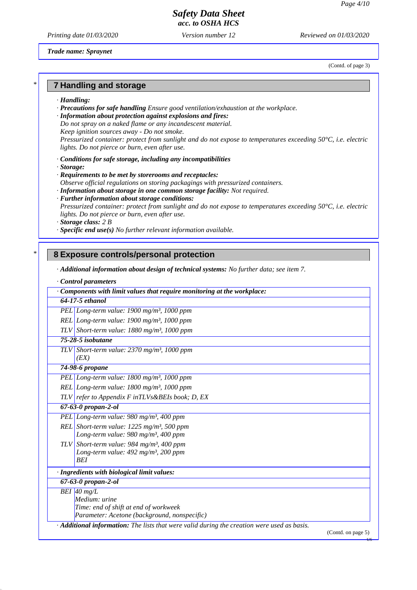*Printing date 01/03/2020 Version number 12 Reviewed on 01/03/2020*

*Trade name: Spraynet*

(Contd. of page 3)

### **7 Handling and storage**

*· Handling:*

*\**

*\**

- *· Precautions for safe handling Ensure good ventilation/exhaustion at the workplace.*
- *· Information about protection against explosions and fires:*
- *Do not spray on a naked flame or any incandescent material.*
- *Keep ignition sources away - Do not smoke.*
- *Pressurized container: protect from sunlight and do not expose to temperatures exceeding 50°C, i.e. electric lights. Do not pierce or burn, even after use.*
- *· Conditions for safe storage, including any incompatibilities*
- *· Storage:*
- *· Requirements to be met by storerooms and receptacles:*
- *Observe official regulations on storing packagings with pressurized containers.*
- *· Information about storage in one common storage facility: Not required.*
- *· Further information about storage conditions: Pressurized container: protect from sunlight and do not expose to temperatures exceeding 50°C, i.e. electric lights. Do not pierce or burn, even after use.*
- *· Storage class: 2 B*
- *· Specific end use(s) No further relevant information available.*

### **8 Exposure controls/personal protection**

*· Additional information about design of technical systems: No further data; see item 7.*

*· Control parameters*

| $\cdot$ Components with limit values that require monitoring at the workplace:                           |                    |
|----------------------------------------------------------------------------------------------------------|--------------------|
| 64-17-5 ethanol                                                                                          |                    |
| PEL Long-term value: $1900$ mg/m <sup>3</sup> , $1000$ ppm                                               |                    |
| $REL$ Long-term value: 1900 mg/m <sup>3</sup> , 1000 ppm                                                 |                    |
| TLV Short-term value: $1880$ mg/m <sup>3</sup> , 1000 ppm                                                |                    |
| 75-28-5 isobutane                                                                                        |                    |
| TLV Short-term value: $2370$ mg/m <sup>3</sup> , 1000 ppm<br>(EX)                                        |                    |
| 74-98-6 propane                                                                                          |                    |
| PEL Long-term value: $1800$ mg/m <sup>3</sup> , 1000 ppm                                                 |                    |
| REL Long-term value: $1800$ mg/m <sup>3</sup> , 1000 ppm                                                 |                    |
| $TLV$ refer to Appendix F in $TLVs\&B Els$ book; D, EX                                                   |                    |
| $67 - 63 - 0$ propan-2-ol                                                                                |                    |
| PEL Long-term value: $980$ mg/m <sup>3</sup> , 400 ppm                                                   |                    |
| REL Short-term value: $1225$ mg/m <sup>3</sup> , 500 ppm                                                 |                    |
| Long-term value: 980 mg/m <sup>3</sup> , 400 ppm                                                         |                    |
| TLV Short-term value: 984 mg/m <sup>3</sup> , 400 ppm                                                    |                    |
| Long-term value: $492$ mg/m <sup>3</sup> , 200 ppm                                                       |                    |
| <b>BEI</b>                                                                                               |                    |
| · Ingredients with biological limit values:                                                              |                    |
| $67 - 63 - 0$ propan-2-ol                                                                                |                    |
| BEI 40 mg/L                                                                                              |                    |
| Medium: urine                                                                                            |                    |
| Time: end of shift at end of workweek                                                                    |                    |
| Parameter: Acetone (background, nonspecific)                                                             |                    |
| $\cdot$ <b>Additional information:</b> The lists that were valid during the creation were used as basis. | (Contd. on page 5) |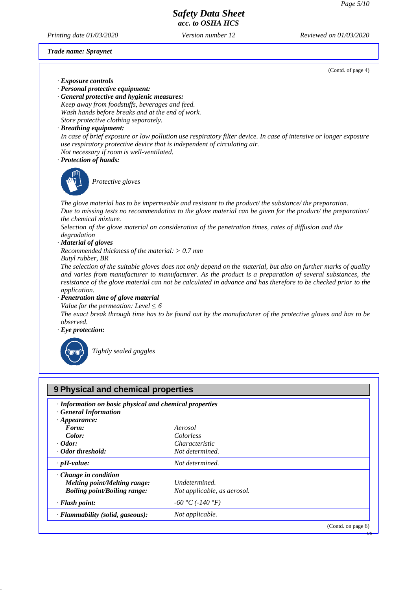(Contd. of page 4)

US

# *Safety Data Sheet acc. to OSHA HCS*

*Printing date 01/03/2020 Version number 12 Reviewed on 01/03/2020*

*Trade name: Spraynet*

*· Exposure controls*

- *· Personal protective equipment:*
- *· General protective and hygienic measures: Keep away from foodstuffs, beverages and feed. Wash hands before breaks and at the end of work. Store protective clothing separately.*
- *· Breathing equipment:*
- *In case of brief exposure or low pollution use respiratory filter device. In case of intensive or longer exposure use respiratory protective device that is independent of circulating air. Not necessary if room is well-ventilated.*
- *· Protection of hands:*



*Protective gloves*

*The glove material has to be impermeable and resistant to the product/ the substance/ the preparation.* Due to missing tests no recommendation to the glove material can be given for the product/ the preparation/ *the chemical mixture.*

*Selection of the glove material on consideration of the penetration times, rates of diffusion and the degradation*

*· Material of gloves*

*Recommended thickness of the material:*  $\geq 0.7$  *mm* 

*Butyl rubber, BR*

*The selection of the suitable gloves does not only depend on the material, but also on further marks of quality and varies from manufacturer to manufacturer. As the product is a preparation of several substances, the resistance of the glove material can not be calculated in advance and has therefore to be checked prior to the application.*

*· Penetration time of glove material*

*Value for the permeation: Level*  $\leq 6$ 

*The exact break through time has to be found out by the manufacturer of the protective gloves and has to be observed.*

*· Eye protection:*



*Tightly sealed goggles*

| · Information on basic physical and chemical properties |  |
|---------------------------------------------------------|--|
| Aerosol                                                 |  |
| Colorless                                               |  |
| <i>Characteristic</i>                                   |  |
| Not determined.                                         |  |
| Not determined.                                         |  |
| Undetermined.<br>Not applicable, as aerosol.            |  |
| $-60 °C (-140 °F)$                                      |  |
| Not applicable.                                         |  |
|                                                         |  |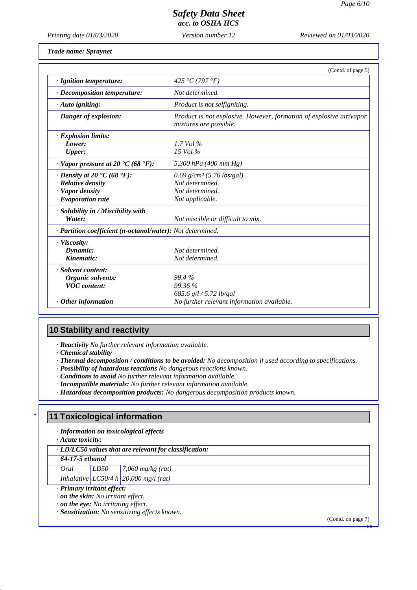*Printing date 01/03/2020 Version number 12 Reviewed on 01/03/2020*

*Trade name: Spraynet*

|                                                                    | (Contd. of page 5)                                                                            |
|--------------------------------------------------------------------|-----------------------------------------------------------------------------------------------|
| · Ignition temperature:                                            | 425 °C (797 °F)                                                                               |
| $\cdot$ Decomposition temperature:                                 | Not determined.                                                                               |
| $\cdot$ Auto igniting:                                             | Product is not selfigniting.                                                                  |
| $\cdot$ Danger of explosion:                                       | Product is not explosive. However, formation of explosive air/vapor<br>mixtures are possible. |
| · Explosion limits:                                                |                                                                                               |
| Lower:                                                             | $1.7$ Vol $\%$                                                                                |
| <b>Upper:</b>                                                      | $15$ Vol $\%$                                                                                 |
| $\cdot$ Vapor pressure at 20 $\textdegree$ C (68 $\textdegree$ F): | 5,300 hPa (400 mm Hg)                                                                         |
| $\cdot$ Density at 20 $\cdot$ C (68 $\cdot$ F):                    | $0.69$ g/cm <sup>3</sup> (5.76 lbs/gal)                                                       |
| $\cdot$ Relative density                                           | Not determined.                                                                               |
| · Vapor density                                                    | Not determined.                                                                               |
| $\cdot$ Evaporation rate                                           | Not applicable.                                                                               |
| $\cdot$ Solubility in / Miscibility with                           |                                                                                               |
| Water:                                                             | Not miscible or difficult to mix.                                                             |
| · Partition coefficient (n-octanol/water): Not determined.         |                                                                                               |
| $\cdot$ Viscosity:                                                 |                                                                                               |
| Dynamic:                                                           | Not determined.                                                                               |
| Kinematic:                                                         | Not determined.                                                                               |
| · Solvent content:                                                 |                                                                                               |
| Organic solvents:                                                  | 99.4 %                                                                                        |
| <b>VOC</b> content:                                                | 99.36 %                                                                                       |
|                                                                    | 685.6 $g/l / 5.72$ lb/gal                                                                     |
| $\cdot$ Other information                                          | No further relevant information available.                                                    |

# **10 Stability and reactivity**

*· Reactivity No further relevant information available.*

*· Chemical stability*

*· Thermal decomposition / conditions to be avoided: No decomposition if used according to specifications.*

*· Possibility of hazardous reactions No dangerous reactions known.*

*· Conditions to avoid No further relevant information available.*

*· Incompatible materials: No further relevant information available.*

*· Hazardous decomposition products: No dangerous decomposition products known.*

### **11 Toxicological information**

*· Information on toxicological effects*

*· Acute toxicity:*

*\**

*· LD/LC50 values that are relevant for classification:*

*64-17-5 ethanol*

*Oral LD50 7,060 mg/kg (rat)*

*Inhalative LC50/4 h 20,000 mg/l (rat)*

*· Primary irritant effect:*

*· on the skin: No irritant effect.*

*· on the eye: No irritating effect.*

*· Sensitization: No sensitizing effects known.*

(Contd. on page 7)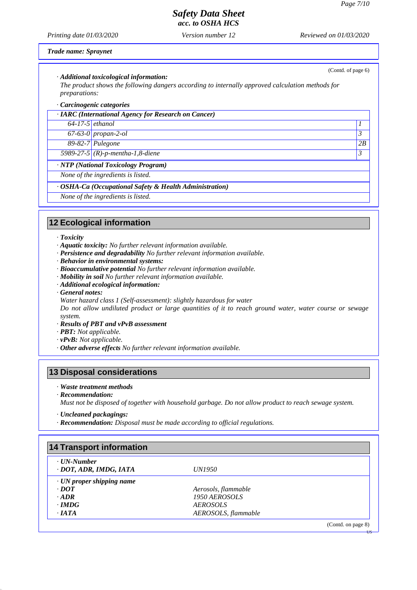(Contd. of page 6)

US

# *Safety Data Sheet*

*acc. to OSHA HCS*

*Printing date 01/03/2020 Version number 12 Reviewed on 01/03/2020*

### *Trade name: Spraynet*

### *· Additional toxicological information:*

*The product shows the following dangers according to internally approved calculation methods for preparations:*

### *· Carcinogenic categories*

|                                     | · IARC (International Agency for Research on Cancer) |    |
|-------------------------------------|------------------------------------------------------|----|
| $64-17-5$ ethanol                   |                                                      |    |
|                                     | $67-63-0$ propan-2-ol                                | 3  |
|                                     | 89-82-7 Pulegone                                     | 2B |
|                                     | 5989-27-5 (R)-p-mentha-1,8-diene                     | 3  |
| · NTP (National Toxicology Program) |                                                      |    |
|                                     | None of the ingredients is listed.                   |    |

### *· OSHA-Ca (Occupational Safety & Health Administration)*

*None of the ingredients is listed.*

# **12 Ecological information**

#### *· Toxicity*

- *· Aquatic toxicity: No further relevant information available.*
- *· Persistence and degradability No further relevant information available.*
- *· Behavior in environmental systems:*
- *· Bioaccumulative potential No further relevant information available.*
- *· Mobility in soil No further relevant information available.*
- *· Additional ecological information:*
- *· General notes:*
- *Water hazard class 1 (Self-assessment): slightly hazardous for water*

Do not allow undiluted product or large quantities of it to reach ground water, water course or sewage *system.*

- *· Results of PBT and vPvB assessment*
- *· PBT: Not applicable.*
- *· vPvB: Not applicable.*
- *· Other adverse effects No further relevant information available.*

### **13 Disposal considerations**

- *· Waste treatment methods*
- *· Recommendation:*
- *Must not be disposed of together with household garbage. Do not allow product to reach sewage system.*
- *· Uncleaned packagings:*
- *· Recommendation: Disposal must be made according to official regulations.*

| · UN-Number                     |                     |  |
|---------------------------------|---------------------|--|
| DOT, ADR, IMDG, IATA            | <i>UN1950</i>       |  |
| $\cdot$ UN proper shipping name |                     |  |
| $\cdot$ <i>DOT</i>              | Aerosols, flammable |  |
| $-ADR$                          | 1950 AEROSOLS       |  |
| $\cdot$ IMDG                    | <b>AEROSOLS</b>     |  |
| $\cdot$ IATA                    | AEROSOLS, flammable |  |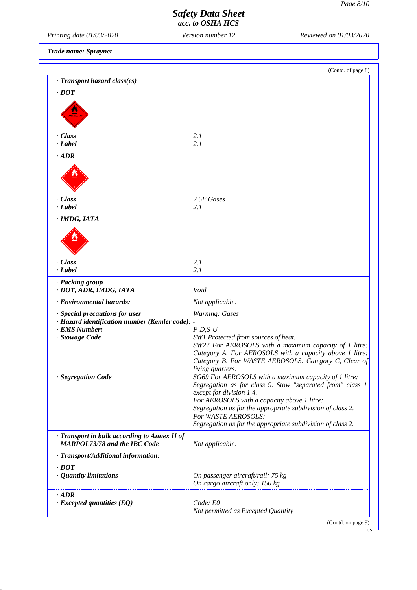US

# *Safety Data Sheet*

*acc. to OSHA HCS*

*Printing date 01/03/2020 Version number 12 Reviewed on 01/03/2020*

*Trade name: Spraynet*

|                                                                                                                                                  | (Contd. of page 8)                                                                                                                                                                                                                                |
|--------------------------------------------------------------------------------------------------------------------------------------------------|---------------------------------------------------------------------------------------------------------------------------------------------------------------------------------------------------------------------------------------------------|
| · Transport hazard class(es)                                                                                                                     |                                                                                                                                                                                                                                                   |
| $\cdot$ DOT                                                                                                                                      |                                                                                                                                                                                                                                                   |
|                                                                                                                                                  |                                                                                                                                                                                                                                                   |
|                                                                                                                                                  |                                                                                                                                                                                                                                                   |
|                                                                                                                                                  |                                                                                                                                                                                                                                                   |
| · Class                                                                                                                                          | 2.1                                                                                                                                                                                                                                               |
| $-Label$                                                                                                                                         | 2.1                                                                                                                                                                                                                                               |
| $\cdot$ ADR                                                                                                                                      |                                                                                                                                                                                                                                                   |
|                                                                                                                                                  |                                                                                                                                                                                                                                                   |
| · Class                                                                                                                                          | 2 5F Gases                                                                                                                                                                                                                                        |
| $\cdot$ <i>Label</i>                                                                                                                             | 2.1                                                                                                                                                                                                                                               |
| $\cdot$ IMDG, IATA                                                                                                                               |                                                                                                                                                                                                                                                   |
|                                                                                                                                                  |                                                                                                                                                                                                                                                   |
| $\cdot$ Class                                                                                                                                    | 2.1                                                                                                                                                                                                                                               |
| $\cdot$ Label                                                                                                                                    | 2.1                                                                                                                                                                                                                                               |
| · Packing group<br>· DOT, ADR, IMDG, IATA                                                                                                        | Void                                                                                                                                                                                                                                              |
| · Environmental hazards:                                                                                                                         | Not applicable.                                                                                                                                                                                                                                   |
|                                                                                                                                                  |                                                                                                                                                                                                                                                   |
| · Special precautions for user                                                                                                                   | Warning: Gases                                                                                                                                                                                                                                    |
| · Hazard identification number (Kemler code): -                                                                                                  |                                                                                                                                                                                                                                                   |
| · EMS Number:                                                                                                                                    | $F$ -D,S-U                                                                                                                                                                                                                                        |
| · Stowage Code                                                                                                                                   | SW1 Protected from sources of heat.                                                                                                                                                                                                               |
|                                                                                                                                                  |                                                                                                                                                                                                                                                   |
|                                                                                                                                                  |                                                                                                                                                                                                                                                   |
|                                                                                                                                                  | living quarters.                                                                                                                                                                                                                                  |
|                                                                                                                                                  | SG69 For AEROSOLS with a maximum capacity of 1 litre:                                                                                                                                                                                             |
|                                                                                                                                                  |                                                                                                                                                                                                                                                   |
|                                                                                                                                                  | except for division 1.4.                                                                                                                                                                                                                          |
|                                                                                                                                                  | For AEROSOLS with a capacity above 1 litre:<br>Segregation as for the appropriate subdivision of class 2.                                                                                                                                         |
|                                                                                                                                                  | For WASTE AEROSOLS:                                                                                                                                                                                                                               |
|                                                                                                                                                  | Segregation as for the appropriate subdivision of class 2.                                                                                                                                                                                        |
|                                                                                                                                                  | Not applicable.                                                                                                                                                                                                                                   |
| · Segregation Code<br>· Transport in bulk according to Annex II of<br><b>MARPOL73/78 and the IBC Code</b><br>· Transport/Additional information: |                                                                                                                                                                                                                                                   |
| $\cdot$ DOT                                                                                                                                      |                                                                                                                                                                                                                                                   |
|                                                                                                                                                  | On passenger aircraft/rail: 75 kg                                                                                                                                                                                                                 |
| $\cdot$ Quantity limitations                                                                                                                     | On cargo aircraft only: 150 kg                                                                                                                                                                                                                    |
| $\cdot$ ADR<br>$\cdot$ Excepted quantities (EQ)                                                                                                  | SW22 For AEROSOLS with a maximum capacity of 1 litre:<br>Category A. For AEROSOLS with a capacity above 1 litre:<br>Category B. For WASTE AEROSOLS: Category C, Clear of<br>Segregation as for class 9. Stow "separated from" class 1<br>Code: E0 |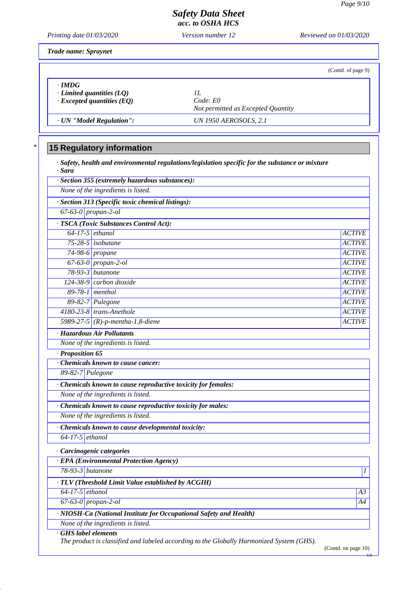*Printing date 01/03/2020 Version number 12 Reviewed on 01/03/2020*

*Trade name: Spraynet*

*\**

|                                                                             | (Contd. of page 9)                                  |
|-----------------------------------------------------------------------------|-----------------------------------------------------|
| $\cdot$ IMDG<br>Limited quantities (LQ)<br>$\cdot$ Excepted quantities (EQ) | H<br>Code: E0<br>Not permitted as Excepted Quantity |
| · UN "Model Regulation":                                                    | UN 1950 AEROSOLS, 2.1                               |

# **15 Regulatory information**

*· Safety, health and environmental regulations/legislation specific for the substance or mixture · Sara*

|                                     | None of the ingredients is listed.                                 |               |
|-------------------------------------|--------------------------------------------------------------------|---------------|
|                                     | · Section 313 (Specific toxic chemical listings):                  |               |
| $\overline{67-63}$ -0   propan-2-ol |                                                                    |               |
|                                     | · TSCA (Toxic Substances Control Act):                             |               |
| $64-17-5$ ethanol                   |                                                                    | <b>ACTIVE</b> |
|                                     | 75-28-5 isobutane                                                  | <b>ACTIVE</b> |
|                                     | $74-98-6$ propane                                                  | <b>ACTIVE</b> |
|                                     | 67-63-0 propan-2-ol                                                | <b>ACTIVE</b> |
|                                     | 78-93-3 butanone                                                   | <b>ACTIVE</b> |
|                                     | 124-38-9 carbon dioxide                                            | <b>ACTIVE</b> |
| $89-78-1$ menthol                   |                                                                    | <b>ACTIVE</b> |
|                                     | $\sqrt{89-82-7}$ Pulegone                                          | <b>ACTIVE</b> |
|                                     | 4180-23-8 trans-Anethole                                           | <b>ACTIVE</b> |
|                                     | 5989-27-5 (R)-p-mentha-1,8-diene                                   | <b>ACTIVE</b> |
|                                     | · Hazardous Air Pollutants                                         |               |
|                                     | None of the ingredients is listed.                                 |               |
| $\cdot$ Proposition 65              |                                                                    |               |
|                                     | Chemicals known to cause cancer:                                   |               |
| 89-82-7 Pulegone                    |                                                                    |               |
|                                     | · Chemicals known to cause reproductive toxicity for females:      |               |
|                                     | None of the ingredients is listed.                                 |               |
|                                     | Chemicals known to cause reproductive toxicity for males:          |               |
|                                     | None of the ingredients is listed.                                 |               |
|                                     | · Chemicals known to cause developmental toxicity:                 |               |
| $64-17-5$ ethanol                   |                                                                    |               |
|                                     | · Carcinogenic categories                                          |               |
|                                     | · EPA (Environmental Protection Agency)                            |               |
| 78-93-3 butanone                    |                                                                    |               |
|                                     | · TLV (Threshold Limit Value established by ACGIH)                 |               |
| $64-17-5$ ethanol                   |                                                                    | A3            |
| $67-63-0$ propan-2-ol               |                                                                    | A4            |
|                                     | · NIOSH-Ca (National Institute for Occupational Safety and Health) |               |
|                                     | None of the ingredients is listed.                                 |               |

(Contd. on page 10)